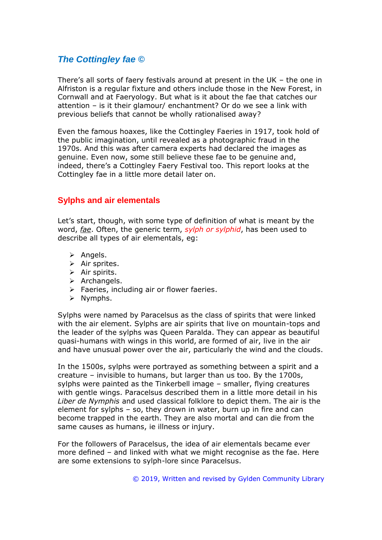# *The Cottingley fae ©*

There's all sorts of faery festivals around at present in the UK – the one in Alfriston is a regular fixture and others include those in the New Forest, in Cornwall and at Faeryology. But what is it about the fae that catches our attention – is it their glamour/ enchantment? Or do we see a link with previous beliefs that cannot be wholly rationalised away?

Even the famous hoaxes, like the Cottingley Faeries in 1917, took hold of the public imagination, until revealed as a photographic fraud in the 1970s. And this was after camera experts had declared the images as genuine. Even now, some still believe these fae to be genuine and, indeed, there's a Cottingley Faery Festival too. This report looks at the Cottingley fae in a little more detail later on.

## **Sylphs and air elementals**

Let's start, though, with some type of definition of what is meant by the word, *fae*. Often, the generic term, *sylph or sylphid*, has been used to describe all types of air elementals, eg:

- ➢ Angels.
- $\triangleright$  Air sprites.
- ➢ Air spirits.
- ➢ Archangels.
- $\triangleright$  Faeries, including air or flower faeries.
- ➢ Nymphs.

Sylphs were named by Paracelsus as the class of spirits that were linked with the air element. Sylphs are air spirits that live on mountain-tops and the leader of the sylphs was Queen Paralda. They can appear as beautiful quasi-humans with wings in this world, are formed of air, live in the air and have unusual power over the air, particularly the wind and the clouds.

In the 1500s, sylphs were portrayed as something between a spirit and a creature – invisible to humans, but larger than us too. By the 1700s, sylphs were painted as the Tinkerbell image – smaller, flying creatures with gentle wings. Paracelsus described them in a little more detail in his *Liber de Nymphis* and used classical folklore to depict them. The air is the element for sylphs – so, they drown in water, burn up in fire and can become trapped in the earth. They are also mortal and can die from the same causes as humans, ie illness or injury.

For the followers of Paracelsus, the idea of air elementals became ever more defined – and linked with what we might recognise as the fae. Here are some extensions to sylph-lore since Paracelsus.

© 2019, Written and revised by Gylden Community Library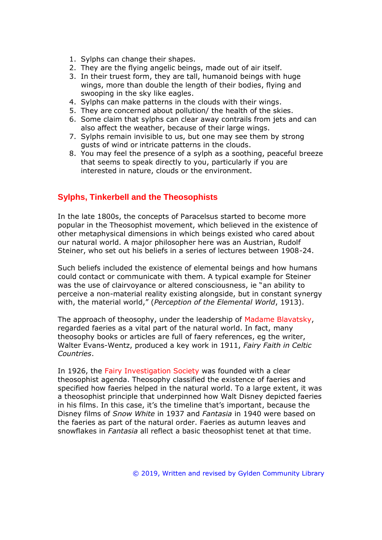- 1. Sylphs can change their shapes.
- 2. They are the flying angelic beings, made out of air itself.
- 3. In their truest form, they are tall, humanoid beings with huge wings, more than double the length of their bodies, flying and swooping in the sky like eagles.
- 4. Sylphs can make patterns in the clouds with their wings.
- 5. They are concerned about pollution/ the health of the skies.
- 6. Some claim that sylphs can clear away contrails from jets and can also affect the weather, because of their large wings.
- 7. Sylphs remain invisible to us, but one may see them by strong gusts of wind or intricate patterns in the clouds.
- 8. You may feel the presence of a sylph as a soothing, peaceful breeze that seems to speak directly to you, particularly if you are interested in nature, clouds or the environment.

## **Sylphs, Tinkerbell and the Theosophists**

In the late 1800s, the concepts of Paracelsus started to become more popular in the Theosophist movement, which believed in the existence of other metaphysical dimensions in which beings existed who cared about our natural world. A major philosopher here was an Austrian, Rudolf Steiner, who set out his beliefs in a series of lectures between 1908-24.

Such beliefs included the existence of elemental beings and how humans could contact or communicate with them. A typical example for Steiner was the use of clairvoyance or altered consciousness, ie "an ability to perceive a non-material reality existing alongside, but in constant synergy with, the material world," (*Perception of the Elemental World*, 1913).

The approach of theosophy, under the leadership of Madame Blavatsky, regarded faeries as a vital part of the natural world. In fact, many theosophy books or articles are full of faery references, eg the writer, Walter Evans-Wentz, produced a key work in 1911, *Fairy Faith in Celtic Countries*.

In 1926, the Fairy Investigation Society was founded with a clear theosophist agenda. Theosophy classified the existence of faeries and specified how faeries helped in the natural world. To a large extent, it was a theosophist principle that underpinned how Walt Disney depicted faeries in his films. In this case, it's the timeline that's important, because the Disney films of *Snow White* in 1937 and *Fantasia* in 1940 were based on the faeries as part of the natural order. Faeries as autumn leaves and snowflakes in *Fantasia* all reflect a basic theosophist tenet at that time.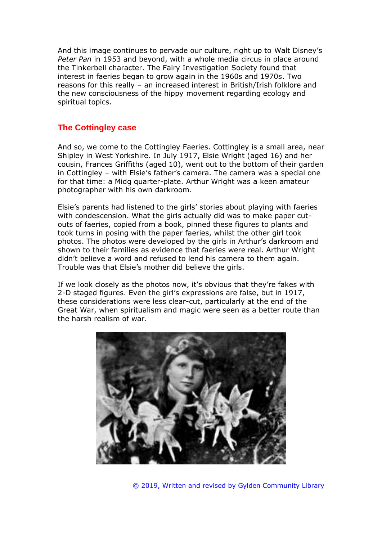And this image continues to pervade our culture, right up to Walt Disney's *Peter Pan* in 1953 and beyond, with a whole media circus in place around the Tinkerbell character. The Fairy Investigation Society found that interest in faeries began to grow again in the 1960s and 1970s. Two reasons for this really – an increased interest in British/Irish folklore and the new consciousness of the hippy movement regarding ecology and spiritual topics.

## **The Cottingley case**

And so, we come to the Cottingley Faeries. Cottingley is a small area, near Shipley in West Yorkshire. In July 1917, Elsie Wright (aged 16) and her cousin, Frances Griffiths (aged 10), went out to the bottom of their garden in Cottingley – with Elsie's father's camera. The camera was a special one for that time: a Midg quarter-plate. Arthur Wright was a keen amateur photographer with his own darkroom.

Elsie's parents had listened to the girls' stories about playing with faeries with condescension. What the girls actually did was to make paper cutouts of faeries, copied from a book, pinned these figures to plants and took turns in posing with the paper faeries, whilst the other girl took photos. The photos were developed by the girls in Arthur's darkroom and shown to their families as evidence that faeries were real. Arthur Wright didn't believe a word and refused to lend his camera to them again. Trouble was that Elsie's mother did believe the girls.

If we look closely as the photos now, it's obvious that they're fakes with 2-D staged figures. Even the girl's expressions are false, but in 1917, these considerations were less clear-cut, particularly at the end of the Great War, when spiritualism and magic were seen as a better route than the harsh realism of war.



© 2019, Written and revised by Gylden Community Library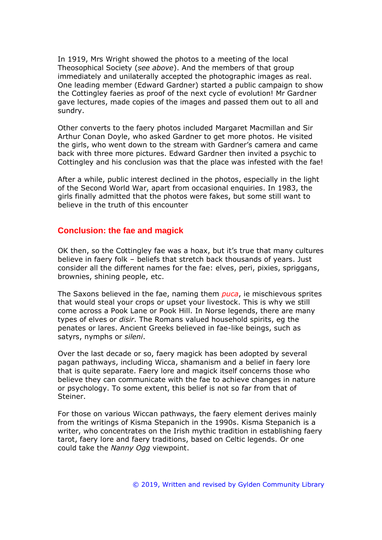In 1919, Mrs Wright showed the photos to a meeting of the local Theosophical Society (*see above*). And the members of that group immediately and unilaterally accepted the photographic images as real. One leading member (Edward Gardner) started a public campaign to show the Cottingley faeries as proof of the next cycle of evolution! Mr Gardner gave lectures, made copies of the images and passed them out to all and sundry.

Other converts to the faery photos included Margaret Macmillan and Sir Arthur Conan Doyle, who asked Gardner to get more photos. He visited the girls, who went down to the stream with Gardner's camera and came back with three more pictures. Edward Gardner then invited a psychic to Cottingley and his conclusion was that the place was infested with the fae!

After a while, public interest declined in the photos, especially in the light of the Second World War, apart from occasional enquiries. In 1983, the girls finally admitted that the photos were fakes, but some still want to believe in the truth of this encounter

### **Conclusion: the fae and magick**

OK then, so the Cottingley fae was a hoax, but it's true that many cultures believe in faery folk – beliefs that stretch back thousands of years. Just consider all the different names for the fae: elves, peri, pixies, spriggans, brownies, shining people, etc.

The Saxons believed in the fae, naming them *puca*, ie mischievous sprites that would steal your crops or upset your livestock. This is why we still come across a Pook Lane or Pook Hill. In Norse legends, there are many types of elves or *disir*. The Romans valued household spirits, eg the penates or lares. Ancient Greeks believed in fae-like beings, such as satyrs, nymphs or *sileni*.

Over the last decade or so, faery magick has been adopted by several pagan pathways, including Wicca, shamanism and a belief in faery lore that is quite separate. Faery lore and magick itself concerns those who believe they can communicate with the fae to achieve changes in nature or psychology. To some extent, this belief is not so far from that of Steiner.

For those on various Wiccan pathways, the faery element derives mainly from the writings of Kisma Stepanich in the 1990s. Kisma Stepanich is a writer, who concentrates on the Irish mythic tradition in establishing faery tarot, faery lore and faery traditions, based on Celtic legends. Or one could take the *Nanny Ogg* viewpoint.